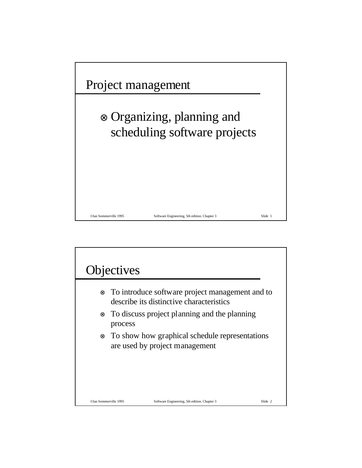

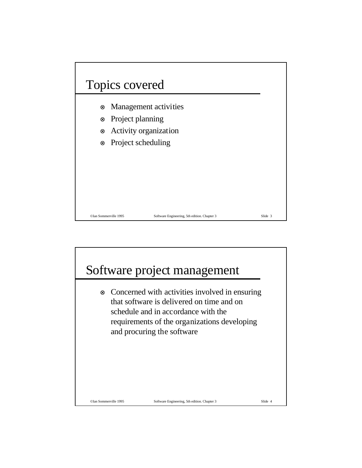

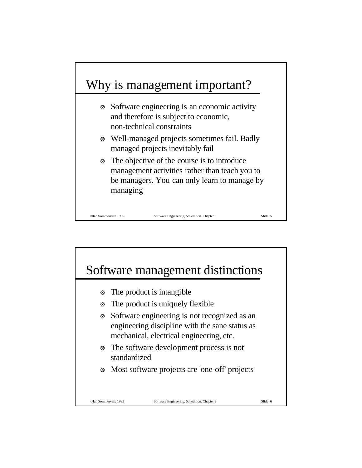

- ⊗ Software engineering is an economic activity and therefore is subject to economic, non-technical constraints
- ⊗ Well-managed projects sometimes fail. Badly managed projects inevitably fail
- ⊗ The objective of the course is to introduce management activities rather than teach you to be managers. You can only learn to manage by managing

©Ian Sommerville 1995 Software Engineering, 5th edition. Chapter 3 Slide 5

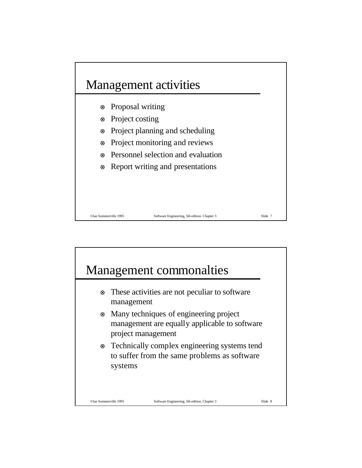

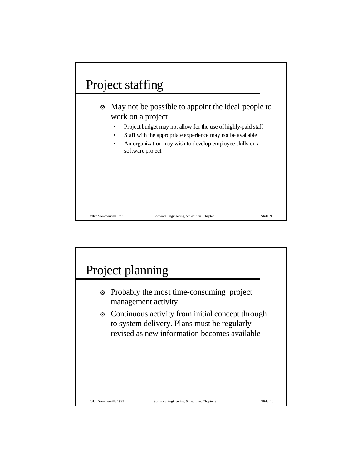

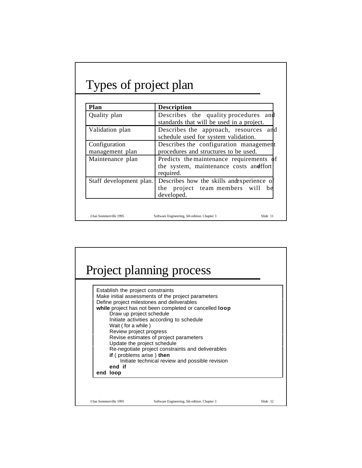## Types of project plan

| Plan                             | <b>Description</b>                                                                                                                                               |  |
|----------------------------------|------------------------------------------------------------------------------------------------------------------------------------------------------------------|--|
| Quality plan                     | Describes the quality procedures<br>and<br>standards that will be used in a project.                                                                             |  |
| Validation plan                  | Describes the approach, resources and<br>schedule used for system validation.<br>Describes the configuration management<br>procedures and structures to be used. |  |
| Configuration<br>management plan |                                                                                                                                                                  |  |
| Maintenance plan                 | Predicts the maintenance requirements of<br>the system, maintenance costs and fort<br>required.                                                                  |  |
| Staff development plan.          | Describes how the skills and experience of<br>project team members will<br>the<br>be<br>developed.                                                               |  |

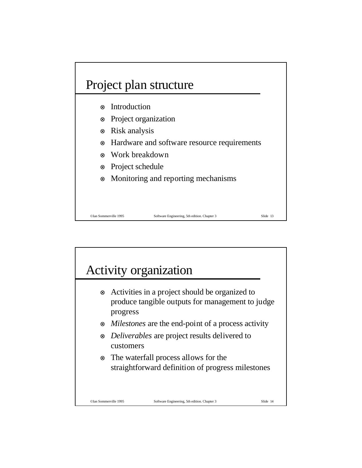

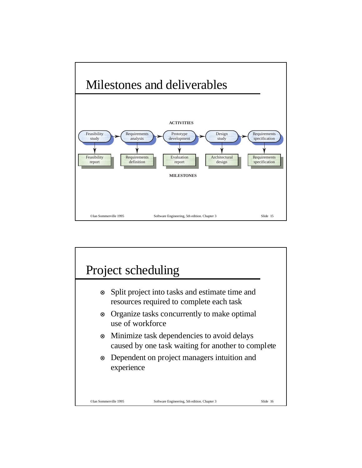

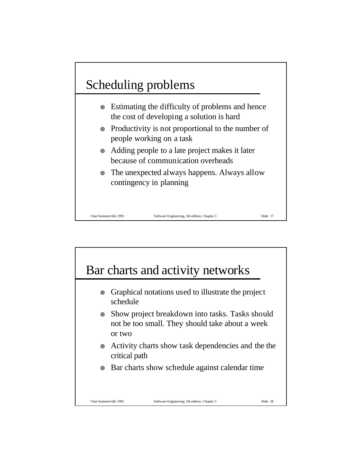## Scheduling problems

- ⊗ Estimating the difficulty of problems and hence the cost of developing a solution is hard
- ⊗ Productivity is not proportional to the number of people working on a task
- ⊗ Adding people to a late project makes it later because of communication overheads
- ⊗ The unexpected always happens. Always allow contingency in planning

©Ian Sommerville 1995 Software Engineering, 5th edition. Chapter 3 Slide 17

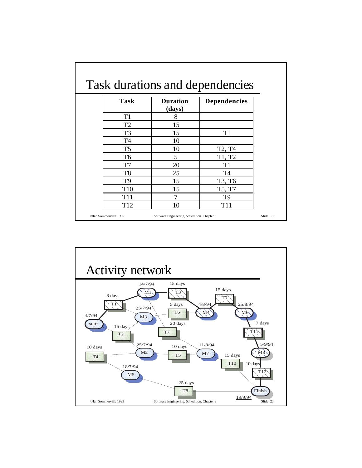| <b>Task</b>     | <b>Duration</b> | <b>Dependencies</b>             |
|-----------------|-----------------|---------------------------------|
|                 | (days)          |                                 |
| T <sub>1</sub>  | 8               |                                 |
| T <sub>2</sub>  | 15              |                                 |
| T <sub>3</sub>  | 15              | T1                              |
| T4              | 10              |                                 |
| T <sub>5</sub>  | 10              | T <sub>2</sub> , T <sub>4</sub> |
| T <sub>6</sub>  | 5               | T1, T2                          |
| T7              | 20              | T1                              |
| T <sub>8</sub>  | 25              | T4                              |
| T9              | 15              | T3, T6                          |
| T <sub>10</sub> | 15              | T5, T7                          |
| T <sub>11</sub> | 7               | T9                              |
| T <sub>12</sub> | 10              | T <sub>11</sub>                 |

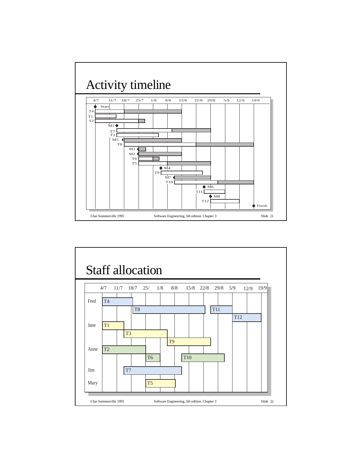